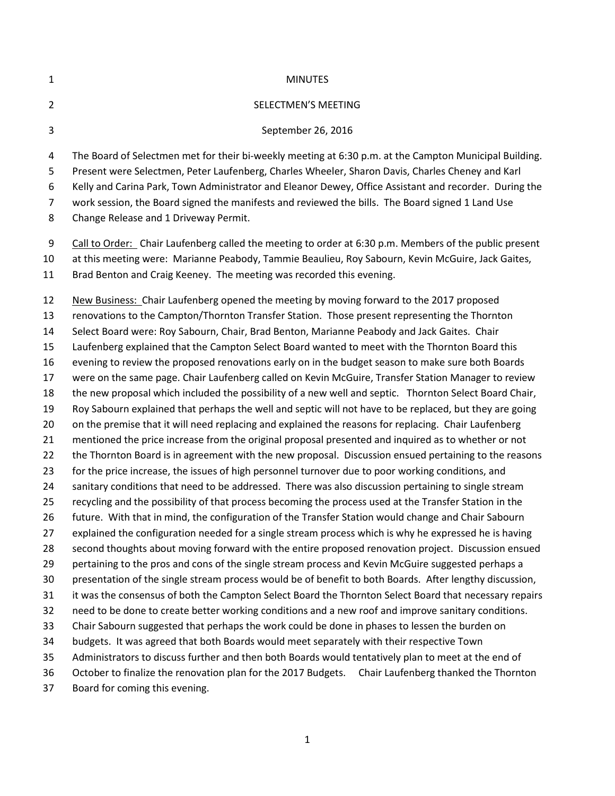| 1              | <b>MINUTES</b>                                                                                                                                                                                             |
|----------------|------------------------------------------------------------------------------------------------------------------------------------------------------------------------------------------------------------|
| $\overline{2}$ | SELECTMEN'S MEETING                                                                                                                                                                                        |
|                |                                                                                                                                                                                                            |
| 3              | September 26, 2016                                                                                                                                                                                         |
| 4              | The Board of Selectmen met for their bi-weekly meeting at 6:30 p.m. at the Campton Municipal Building.                                                                                                     |
| 5              | Present were Selectmen, Peter Laufenberg, Charles Wheeler, Sharon Davis, Charles Cheney and Karl                                                                                                           |
| 6              | Kelly and Carina Park, Town Administrator and Eleanor Dewey, Office Assistant and recorder. During the<br>work session, the Board signed the manifests and reviewed the bills. The Board signed 1 Land Use |
| 7<br>8         | Change Release and 1 Driveway Permit.                                                                                                                                                                      |
| 9              | Call to Order: Chair Laufenberg called the meeting to order at 6:30 p.m. Members of the public present                                                                                                     |
| 10             | at this meeting were: Marianne Peabody, Tammie Beaulieu, Roy Sabourn, Kevin McGuire, Jack Gaites,                                                                                                          |
| 11             | Brad Benton and Craig Keeney. The meeting was recorded this evening.                                                                                                                                       |
| 12             | New Business: Chair Laufenberg opened the meeting by moving forward to the 2017 proposed                                                                                                                   |
| 13             | renovations to the Campton/Thornton Transfer Station. Those present representing the Thornton                                                                                                              |
| 14             | Select Board were: Roy Sabourn, Chair, Brad Benton, Marianne Peabody and Jack Gaites. Chair                                                                                                                |
| 15             | Laufenberg explained that the Campton Select Board wanted to meet with the Thornton Board this                                                                                                             |
| 16<br>17       | evening to review the proposed renovations early on in the budget season to make sure both Boards<br>were on the same page. Chair Laufenberg called on Kevin McGuire, Transfer Station Manager to review   |
| 18             | the new proposal which included the possibility of a new well and septic. Thornton Select Board Chair,                                                                                                     |
| 19             | Roy Sabourn explained that perhaps the well and septic will not have to be replaced, but they are going                                                                                                    |
| 20             | on the premise that it will need replacing and explained the reasons for replacing. Chair Laufenberg                                                                                                       |
| 21             | mentioned the price increase from the original proposal presented and inquired as to whether or not                                                                                                        |
| 22             | the Thornton Board is in agreement with the new proposal. Discussion ensued pertaining to the reasons                                                                                                      |
| 23             | for the price increase, the issues of high personnel turnover due to poor working conditions, and                                                                                                          |
| 24             | sanitary conditions that need to be addressed. There was also discussion pertaining to single stream                                                                                                       |
| 25             | recycling and the possibility of that process becoming the process used at the Transfer Station in the                                                                                                     |
| 26             | future. With that in mind, the configuration of the Transfer Station would change and Chair Sabourn                                                                                                        |
| 27             | explained the configuration needed for a single stream process which is why he expressed he is having                                                                                                      |
| 28<br>29       | second thoughts about moving forward with the entire proposed renovation project. Discussion ensued<br>pertaining to the pros and cons of the single stream process and Kevin McGuire suggested perhaps a  |
| 30             | presentation of the single stream process would be of benefit to both Boards. After lengthy discussion,                                                                                                    |
| 31             | it was the consensus of both the Campton Select Board the Thornton Select Board that necessary repairs                                                                                                     |
| 32             | need to be done to create better working conditions and a new roof and improve sanitary conditions.                                                                                                        |
| 33             | Chair Sabourn suggested that perhaps the work could be done in phases to lessen the burden on                                                                                                              |
| 34             | budgets. It was agreed that both Boards would meet separately with their respective Town                                                                                                                   |
| 35             | Administrators to discuss further and then both Boards would tentatively plan to meet at the end of                                                                                                        |
| 36             | October to finalize the renovation plan for the 2017 Budgets. Chair Laufenberg thanked the Thornton                                                                                                        |
| 37             | Board for coming this evening.                                                                                                                                                                             |
|                |                                                                                                                                                                                                            |
|                | $\mathbf{1}$                                                                                                                                                                                               |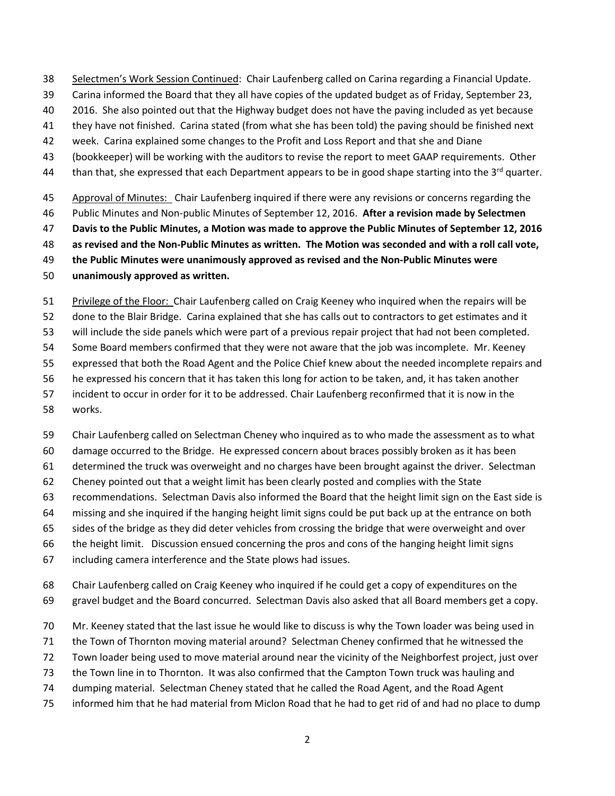- Selectmen's Work Session Continued: Chair Laufenberg called on Carina regarding a Financial Update.
- Carina informed the Board that they all have copies of the updated budget as of Friday, September 23,
- 2016. She also pointed out that the Highway budget does not have the paving included as yet because
- they have not finished. Carina stated (from what she has been told) the paving should be finished next
- week. Carina explained some changes to the Profit and Loss Report and that she and Diane
- (bookkeeper) will be working with the auditors to revise the report to meet GAAP requirements. Other
- 44 than that, she expressed that each Department appears to be in good shape starting into the  $3^{rd}$  quarter.
- Approval of Minutes: Chair Laufenberg inquired if there were any revisions or concerns regarding the
- Public Minutes and Non-public Minutes of September 12, 2016. **After a revision made by Selectmen**
- **Davis to the Public Minutes, a Motion was made to approve the Public Minutes of September 12, 2016**
- **as revised and the Non-Public Minutes as written. The Motion was seconded and with a roll call vote,**
- **the Public Minutes were unanimously approved as revised and the Non-Public Minutes were**
- **unanimously approved as written.**

Privilege of the Floor: Chair Laufenberg called on Craig Keeney who inquired when the repairs will be

done to the Blair Bridge. Carina explained that she has calls out to contractors to get estimates and it

- will include the side panels which were part of a previous repair project that had not been completed.
- Some Board members confirmed that they were not aware that the job was incomplete. Mr. Keeney
- expressed that both the Road Agent and the Police Chief knew about the needed incomplete repairs and
- he expressed his concern that it has taken this long for action to be taken, and, it has taken another
- incident to occur in order for it to be addressed. Chair Laufenberg reconfirmed that it is now in the works.
- Chair Laufenberg called on Selectman Cheney who inquired as to who made the assessment as to what
- damage occurred to the Bridge. He expressed concern about braces possibly broken as it has been
- determined the truck was overweight and no charges have been brought against the driver. Selectman
- Cheney pointed out that a weight limit has been clearly posted and complies with the State
- recommendations. Selectman Davis also informed the Board that the height limit sign on the East side is
- missing and she inquired if the hanging height limit signs could be put back up at the entrance on both
- sides of the bridge as they did deter vehicles from crossing the bridge that were overweight and over
- the height limit. Discussion ensued concerning the pros and cons of the hanging height limit signs
- including camera interference and the State plows had issues.
- Chair Laufenberg called on Craig Keeney who inquired if he could get a copy of expenditures on the gravel budget and the Board concurred. Selectman Davis also asked that all Board members get a copy.
- Mr. Keeney stated that the last issue he would like to discuss is why the Town loader was being used in
- the Town of Thornton moving material around? Selectman Cheney confirmed that he witnessed the
- Town loader being used to move material around near the vicinity of the Neighborfest project, just over
- the Town line in to Thornton. It was also confirmed that the Campton Town truck was hauling and
- dumping material. Selectman Cheney stated that he called the Road Agent, and the Road Agent
- informed him that he had material from Miclon Road that he had to get rid of and had no place to dump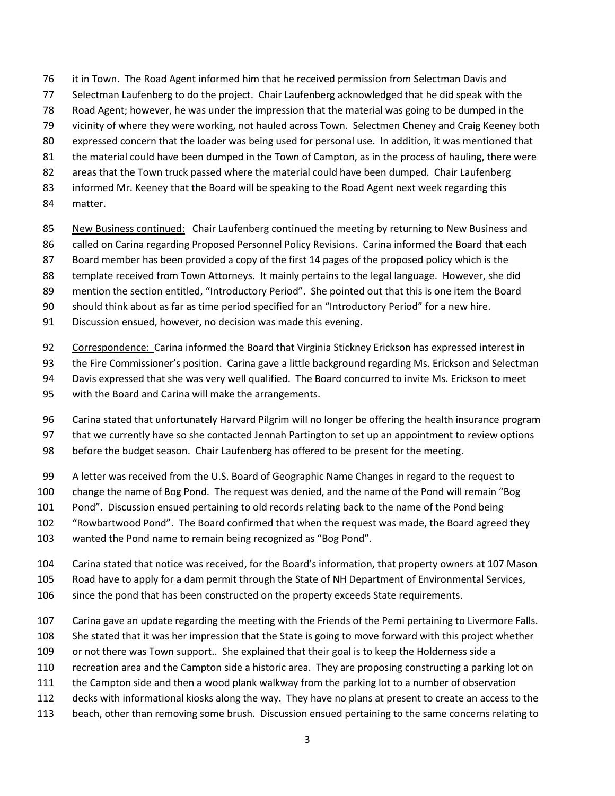- it in Town. The Road Agent informed him that he received permission from Selectman Davis and
- Selectman Laufenberg to do the project. Chair Laufenberg acknowledged that he did speak with the
- Road Agent; however, he was under the impression that the material was going to be dumped in the
- vicinity of where they were working, not hauled across Town. Selectmen Cheney and Craig Keeney both
- expressed concern that the loader was being used for personal use. In addition, it was mentioned that
- the material could have been dumped in the Town of Campton, as in the process of hauling, there were
- areas that the Town truck passed where the material could have been dumped. Chair Laufenberg
- informed Mr. Keeney that the Board will be speaking to the Road Agent next week regarding this
- matter.
- New Business continued: Chair Laufenberg continued the meeting by returning to New Business and
- called on Carina regarding Proposed Personnel Policy Revisions. Carina informed the Board that each
- Board member has been provided a copy of the first 14 pages of the proposed policy which is the
- 88 template received from Town Attorneys. It mainly pertains to the legal language. However, she did
- mention the section entitled, "Introductory Period". She pointed out that this is one item the Board
- should think about as far as time period specified for an "Introductory Period" for a new hire.
- Discussion ensued, however, no decision was made this evening.
- 92 Correspondence: Carina informed the Board that Virginia Stickney Erickson has expressed interest in
- the Fire Commissioner's position. Carina gave a little background regarding Ms. Erickson and Selectman
- Davis expressed that she was very well qualified. The Board concurred to invite Ms. Erickson to meet
- with the Board and Carina will make the arrangements.
- Carina stated that unfortunately Harvard Pilgrim will no longer be offering the health insurance program
- that we currently have so she contacted Jennah Partington to set up an appointment to review options
- before the budget season. Chair Laufenberg has offered to be present for the meeting.
- A letter was received from the U.S. Board of Geographic Name Changes in regard to the request to
- change the name of Bog Pond. The request was denied, and the name of the Pond will remain "Bog
- Pond". Discussion ensued pertaining to old records relating back to the name of the Pond being
- "Rowbartwood Pond". The Board confirmed that when the request was made, the Board agreed they
- wanted the Pond name to remain being recognized as "Bog Pond".
- Carina stated that notice was received, for the Board's information, that property owners at 107 Mason
- Road have to apply for a dam permit through the State of NH Department of Environmental Services,
- since the pond that has been constructed on the property exceeds State requirements.
- Carina gave an update regarding the meeting with the Friends of the Pemi pertaining to Livermore Falls.
- She stated that it was her impression that the State is going to move forward with this project whether
- 109 or not there was Town support.. She explained that their goal is to keep the Holderness side a
- recreation area and the Campton side a historic area. They are proposing constructing a parking lot on
- the Campton side and then a wood plank walkway from the parking lot to a number of observation
- decks with informational kiosks along the way. They have no plans at present to create an access to the
- beach, other than removing some brush. Discussion ensued pertaining to the same concerns relating to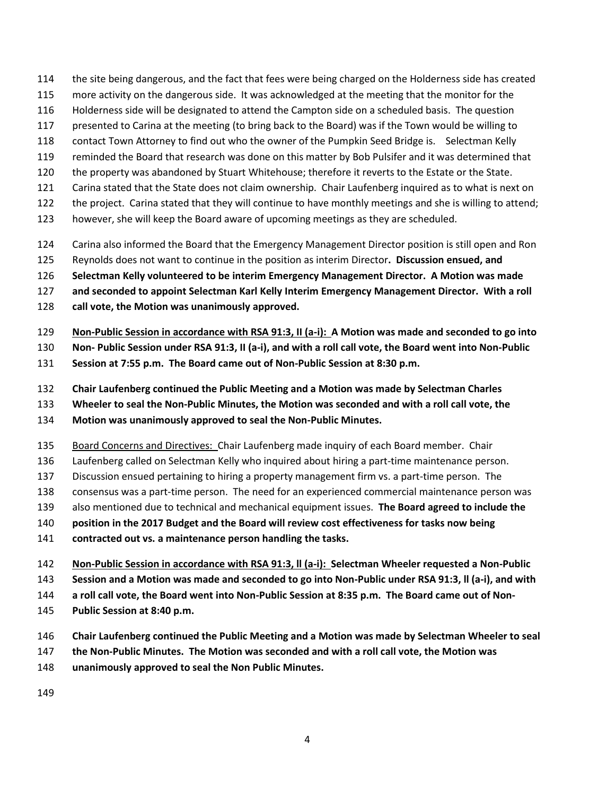- the site being dangerous, and the fact that fees were being charged on the Holderness side has created
- more activity on the dangerous side. It was acknowledged at the meeting that the monitor for the
- Holderness side will be designated to attend the Campton side on a scheduled basis. The question
- presented to Carina at the meeting (to bring back to the Board) was if the Town would be willing to
- contact Town Attorney to find out who the owner of the Pumpkin Seed Bridge is. Selectman Kelly
- reminded the Board that research was done on this matter by Bob Pulsifer and it was determined that
- the property was abandoned by Stuart Whitehouse; therefore it reverts to the Estate or the State.
- 121 Carina stated that the State does not claim ownership. Chair Laufenberg inquired as to what is next on
- the project. Carina stated that they will continue to have monthly meetings and she is willing to attend;
- however, she will keep the Board aware of upcoming meetings as they are scheduled.
- Carina also informed the Board that the Emergency Management Director position is still open and Ron
- Reynolds does not want to continue in the position as interim Director**. Discussion ensued, and**
- **Selectman Kelly volunteered to be interim Emergency Management Director. A Motion was made**

**and seconded to appoint Selectman Karl Kelly Interim Emergency Management Director. With a roll** 

- **call vote, the Motion was unanimously approved.**
- **Non-Public Session in accordance with RSA 91:3, II (a-i): A Motion was made and seconded to go into**
- **Non- Public Session under RSA 91:3, II (a-i), and with a roll call vote, the Board went into Non-Public**
- **Session at 7:55 p.m. The Board came out of Non-Public Session at 8:30 p.m.**
- **Chair Laufenberg continued the Public Meeting and a Motion was made by Selectman Charles**
- **Wheeler to seal the Non-Public Minutes, the Motion was seconded and with a roll call vote, the**
- **Motion was unanimously approved to seal the Non-Public Minutes.**
- Board Concerns and Directives: Chair Laufenberg made inquiry of each Board member. Chair
- Laufenberg called on Selectman Kelly who inquired about hiring a part-time maintenance person.
- Discussion ensued pertaining to hiring a property management firm vs. a part-time person. The
- consensus was a part-time person. The need for an experienced commercial maintenance person was
- also mentioned due to technical and mechanical equipment issues. **The Board agreed to include the**
- **position in the 2017 Budget and the Board will review cost effectiveness for tasks now being**
- **contracted out vs. a maintenance person handling the tasks.**
- **Non-Public Session in accordance with RSA 91:3, ll (a-i): Selectman Wheeler requested a Non-Public**
- **Session and a Motion was made and seconded to go into Non-Public under RSA 91:3, ll (a-i), and with**
- **a roll call vote, the Board went into Non-Public Session at 8:35 p.m. The Board came out of Non-**
- **Public Session at 8:40 p.m.**
- **Chair Laufenberg continued the Public Meeting and a Motion was made by Selectman Wheeler to seal**
- **the Non-Public Minutes. The Motion was seconded and with a roll call vote, the Motion was**
- **unanimously approved to seal the Non Public Minutes.**
-